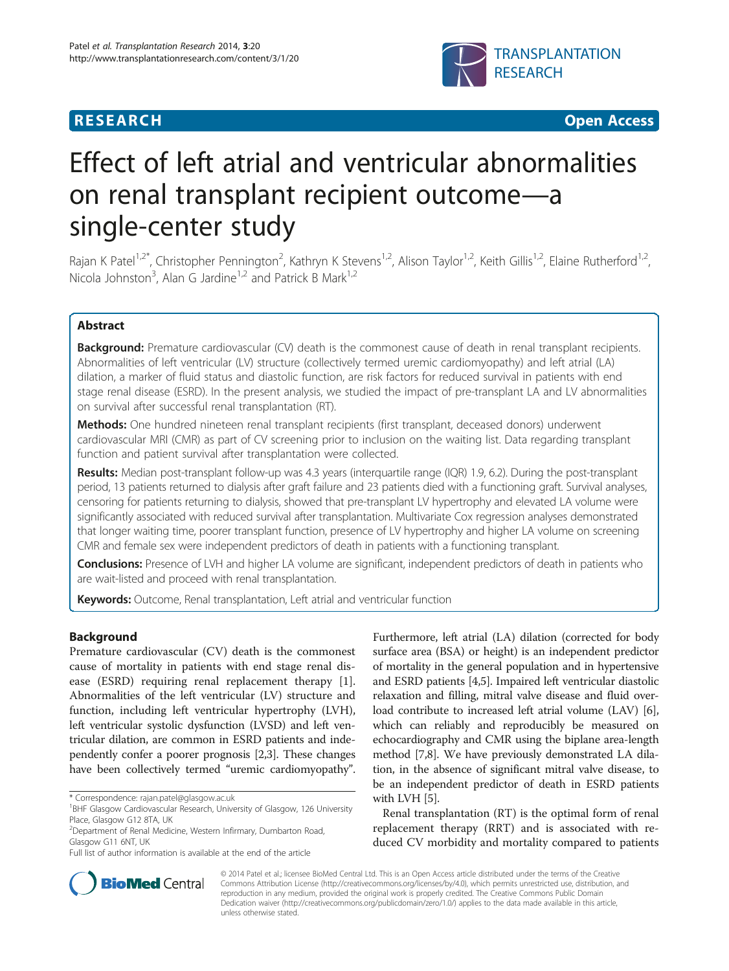

**RESEARCH CHINESE ARCH CHINESE ARCH CHINESE ARCH <b>CHINESE ARCH** 

# Effect of left atrial and ventricular abnormalities on renal transplant recipient outcome—a single-center study

Rajan K Patel<sup>1,2\*</sup>, Christopher Pennington<sup>2</sup>, Kathryn K Stevens<sup>1,2</sup>, Alison Taylor<sup>1,2</sup>, Keith Gillis<sup>1,2</sup>, Elaine Rutherford<sup>1,2</sup>, Nicola Johnston<sup>3</sup>, Alan G Jardine<sup>1,2</sup> and Patrick B Mark<sup>1,2</sup>

# Abstract

Background: Premature cardiovascular (CV) death is the commonest cause of death in renal transplant recipients. Abnormalities of left ventricular (LV) structure (collectively termed uremic cardiomyopathy) and left atrial (LA) dilation, a marker of fluid status and diastolic function, are risk factors for reduced survival in patients with end stage renal disease (ESRD). In the present analysis, we studied the impact of pre-transplant LA and LV abnormalities on survival after successful renal transplantation (RT).

Methods: One hundred nineteen renal transplant recipients (first transplant, deceased donors) underwent cardiovascular MRI (CMR) as part of CV screening prior to inclusion on the waiting list. Data regarding transplant function and patient survival after transplantation were collected.

Results: Median post-transplant follow-up was 4.3 years (interquartile range (IQR) 1.9, 6.2). During the post-transplant period, 13 patients returned to dialysis after graft failure and 23 patients died with a functioning graft. Survival analyses, censoring for patients returning to dialysis, showed that pre-transplant LV hypertrophy and elevated LA volume were significantly associated with reduced survival after transplantation. Multivariate Cox regression analyses demonstrated that longer waiting time, poorer transplant function, presence of LV hypertrophy and higher LA volume on screening CMR and female sex were independent predictors of death in patients with a functioning transplant.

Conclusions: Presence of LVH and higher LA volume are significant, independent predictors of death in patients who are wait-listed and proceed with renal transplantation.

Keywords: Outcome, Renal transplantation, Left atrial and ventricular function

# Background

Premature cardiovascular (CV) death is the commonest cause of mortality in patients with end stage renal disease (ESRD) requiring renal replacement therapy [\[1](#page-8-0)]. Abnormalities of the left ventricular (LV) structure and function, including left ventricular hypertrophy (LVH), left ventricular systolic dysfunction (LVSD) and left ventricular dilation, are common in ESRD patients and independently confer a poorer prognosis [\[2,3\]](#page-8-0). These changes have been collectively termed "uremic cardiomyopathy".

Furthermore, left atrial (LA) dilation (corrected for body surface area (BSA) or height) is an independent predictor of mortality in the general population and in hypertensive and ESRD patients [[4,5](#page-8-0)]. Impaired left ventricular diastolic relaxation and filling, mitral valve disease and fluid overload contribute to increased left atrial volume (LAV) [[6](#page-8-0)], which can reliably and reproducibly be measured on echocardiography and CMR using the biplane area-length method [\[7,8\]](#page-8-0). We have previously demonstrated LA dilation, in the absence of significant mitral valve disease, to be an independent predictor of death in ESRD patients with LVH [\[5](#page-8-0)].

Renal transplantation (RT) is the optimal form of renal replacement therapy (RRT) and is associated with reduced CV morbidity and mortality compared to patients



© 2014 Patel et al.; licensee BioMed Central Ltd. This is an Open Access article distributed under the terms of the Creative Commons Attribution License [\(http://creativecommons.org/licenses/by/4.0\)](http://creativecommons.org/licenses/by/4.0), which permits unrestricted use, distribution, and reproduction in any medium, provided the original work is properly credited. The Creative Commons Public Domain Dedication waiver [\(http://creativecommons.org/publicdomain/zero/1.0/](http://creativecommons.org/publicdomain/zero/1.0/)) applies to the data made available in this article, unless otherwise stated.

<sup>\*</sup> Correspondence: [rajan.patel@glasgow.ac.uk](mailto:rajan.patel@glasgow.ac.uk) <sup>1</sup>

<sup>&</sup>lt;sup>1</sup>BHF Glasgow Cardiovascular Research, University of Glasgow, 126 University Place, Glasgow G12 8TA, UK

<sup>2</sup> Department of Renal Medicine, Western Infirmary, Dumbarton Road, Glasgow G11 6NT, UK

Full list of author information is available at the end of the article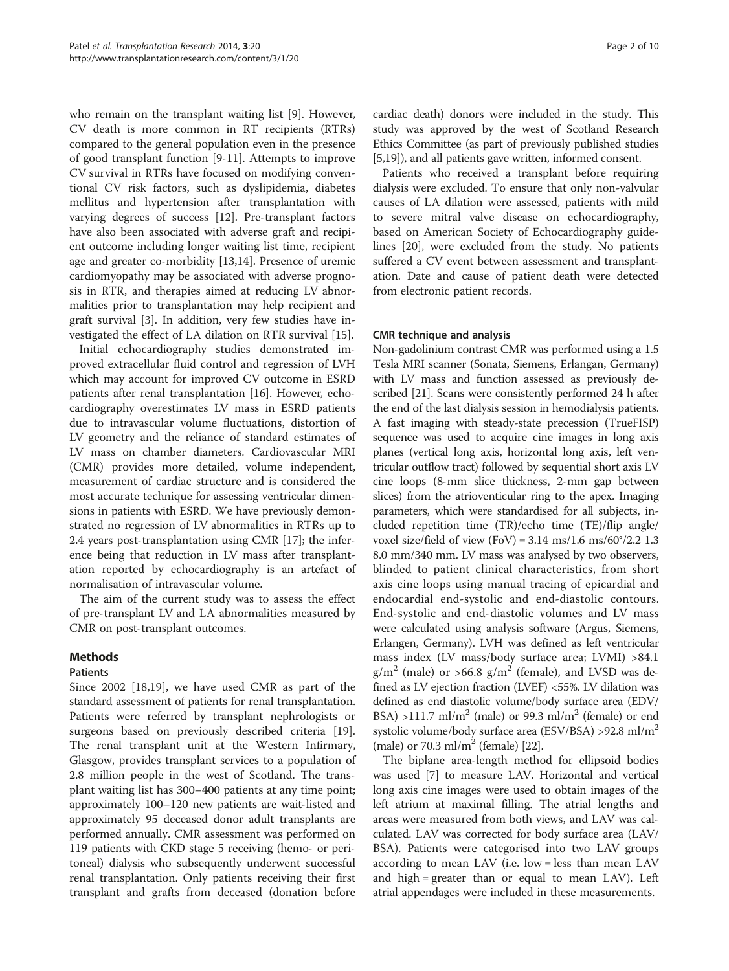who remain on the transplant waiting list [[9](#page-8-0)]. However, CV death is more common in RT recipients (RTRs) compared to the general population even in the presence of good transplant function [[9-11](#page-8-0)]. Attempts to improve CV survival in RTRs have focused on modifying conventional CV risk factors, such as dyslipidemia, diabetes mellitus and hypertension after transplantation with varying degrees of success [\[12\]](#page-8-0). Pre-transplant factors have also been associated with adverse graft and recipient outcome including longer waiting list time, recipient age and greater co-morbidity [[13,14\]](#page-8-0). Presence of uremic cardiomyopathy may be associated with adverse prognosis in RTR, and therapies aimed at reducing LV abnormalities prior to transplantation may help recipient and graft survival [\[3](#page-8-0)]. In addition, very few studies have investigated the effect of LA dilation on RTR survival [\[15\]](#page-8-0).

Initial echocardiography studies demonstrated improved extracellular fluid control and regression of LVH which may account for improved CV outcome in ESRD patients after renal transplantation [\[16](#page-8-0)]. However, echocardiography overestimates LV mass in ESRD patients due to intravascular volume fluctuations, distortion of LV geometry and the reliance of standard estimates of LV mass on chamber diameters. Cardiovascular MRI (CMR) provides more detailed, volume independent, measurement of cardiac structure and is considered the most accurate technique for assessing ventricular dimensions in patients with ESRD. We have previously demonstrated no regression of LV abnormalities in RTRs up to 2.4 years post-transplantation using CMR [\[17\]](#page-8-0); the inference being that reduction in LV mass after transplantation reported by echocardiography is an artefact of normalisation of intravascular volume.

The aim of the current study was to assess the effect of pre-transplant LV and LA abnormalities measured by CMR on post-transplant outcomes.

# Methods

# Patients

Since 2002 [\[18,19](#page-8-0)], we have used CMR as part of the standard assessment of patients for renal transplantation. Patients were referred by transplant nephrologists or surgeons based on previously described criteria [\[19](#page-8-0)]. The renal transplant unit at the Western Infirmary, Glasgow, provides transplant services to a population of 2.8 million people in the west of Scotland. The transplant waiting list has 300–400 patients at any time point; approximately 100–120 new patients are wait-listed and approximately 95 deceased donor adult transplants are performed annually. CMR assessment was performed on 119 patients with CKD stage 5 receiving (hemo- or peritoneal) dialysis who subsequently underwent successful renal transplantation. Only patients receiving their first transplant and grafts from deceased (donation before cardiac death) donors were included in the study. This study was approved by the west of Scotland Research Ethics Committee (as part of previously published studies [[5,19](#page-8-0)]), and all patients gave written, informed consent.

Patients who received a transplant before requiring dialysis were excluded. To ensure that only non-valvular causes of LA dilation were assessed, patients with mild to severe mitral valve disease on echocardiography, based on American Society of Echocardiography guidelines [[20](#page-8-0)], were excluded from the study. No patients suffered a CV event between assessment and transplantation. Date and cause of patient death were detected from electronic patient records.

#### CMR technique and analysis

Non-gadolinium contrast CMR was performed using a 1.5 Tesla MRI scanner (Sonata, Siemens, Erlangan, Germany) with LV mass and function assessed as previously described [\[21\]](#page-8-0). Scans were consistently performed 24 h after the end of the last dialysis session in hemodialysis patients. A fast imaging with steady-state precession (TrueFISP) sequence was used to acquire cine images in long axis planes (vertical long axis, horizontal long axis, left ventricular outflow tract) followed by sequential short axis LV cine loops (8-mm slice thickness, 2-mm gap between slices) from the atrioventicular ring to the apex. Imaging parameters, which were standardised for all subjects, included repetition time (TR)/echo time (TE)/flip angle/ voxel size/field of view  $(FoV) = 3.14$  ms/1.6 ms/60°/2.2 1.3 8.0 mm/340 mm. LV mass was analysed by two observers, blinded to patient clinical characteristics, from short axis cine loops using manual tracing of epicardial and endocardial end-systolic and end-diastolic contours. End-systolic and end-diastolic volumes and LV mass were calculated using analysis software (Argus, Siemens, Erlangen, Germany). LVH was defined as left ventricular mass index (LV mass/body surface area; LVMI) >84.1  $g/m^2$  (male) or >66.8  $g/m^2$  (female), and LVSD was defined as LV ejection fraction (LVEF) <55%. LV dilation was defined as end diastolic volume/body surface area (EDV/ BSA) >111.7 ml/m<sup>2</sup> (male) or 99.3 ml/m<sup>2</sup> (female) or end systolic volume/body surface area (ESV/BSA) >92.8 ml/m<sup>2</sup> (male) or 70.3 ml/m<sup>2</sup> (female) [\[22\]](#page-8-0).

The biplane area-length method for ellipsoid bodies was used [[7\]](#page-8-0) to measure LAV. Horizontal and vertical long axis cine images were used to obtain images of the left atrium at maximal filling. The atrial lengths and areas were measured from both views, and LAV was calculated. LAV was corrected for body surface area (LAV/ BSA). Patients were categorised into two LAV groups according to mean LAV (i.e. low = less than mean LAV and high = greater than or equal to mean LAV). Left atrial appendages were included in these measurements.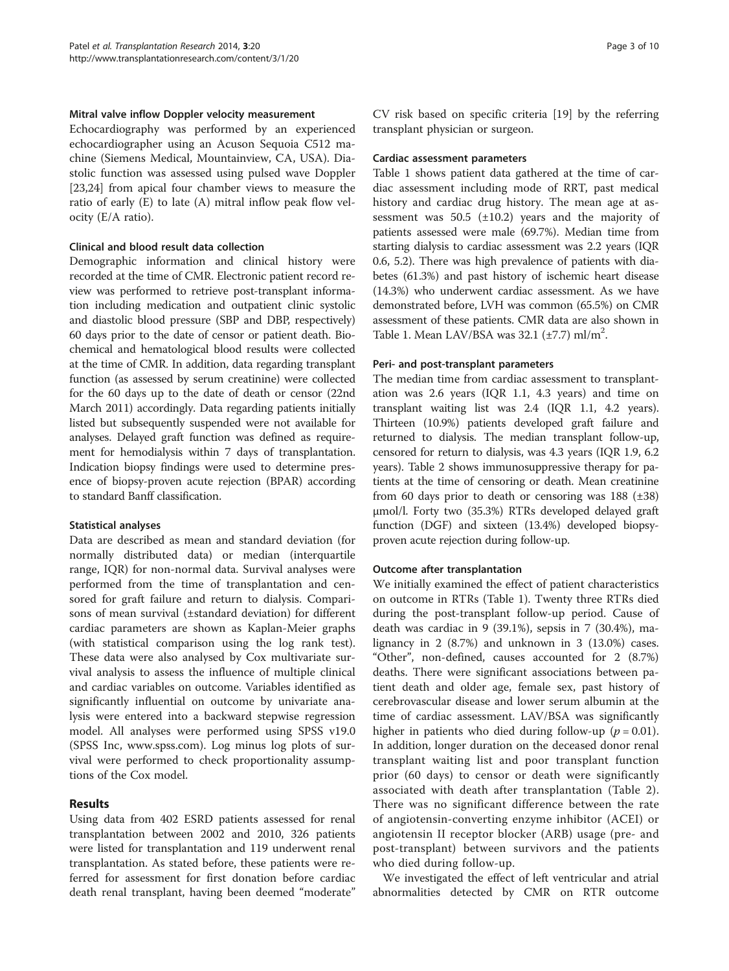#### Mitral valve inflow Doppler velocity measurement

Echocardiography was performed by an experienced echocardiographer using an Acuson Sequoia C512 machine (Siemens Medical, Mountainview, CA, USA). Diastolic function was assessed using pulsed wave Doppler [[23,24\]](#page-8-0) from apical four chamber views to measure the ratio of early (E) to late (A) mitral inflow peak flow velocity (E/A ratio).

#### Clinical and blood result data collection

Demographic information and clinical history were recorded at the time of CMR. Electronic patient record review was performed to retrieve post-transplant information including medication and outpatient clinic systolic and diastolic blood pressure (SBP and DBP, respectively) 60 days prior to the date of censor or patient death. Biochemical and hematological blood results were collected at the time of CMR. In addition, data regarding transplant function (as assessed by serum creatinine) were collected for the 60 days up to the date of death or censor (22nd March 2011) accordingly. Data regarding patients initially listed but subsequently suspended were not available for analyses. Delayed graft function was defined as requirement for hemodialysis within 7 days of transplantation. Indication biopsy findings were used to determine presence of biopsy-proven acute rejection (BPAR) according to standard Banff classification.

#### Statistical analyses

Data are described as mean and standard deviation (for normally distributed data) or median (interquartile range, IQR) for non-normal data. Survival analyses were performed from the time of transplantation and censored for graft failure and return to dialysis. Comparisons of mean survival (±standard deviation) for different cardiac parameters are shown as Kaplan-Meier graphs (with statistical comparison using the log rank test). These data were also analysed by Cox multivariate survival analysis to assess the influence of multiple clinical and cardiac variables on outcome. Variables identified as significantly influential on outcome by univariate analysis were entered into a backward stepwise regression model. All analyses were performed using SPSS v19.0 (SPSS Inc, [www.spss.com](http://www.spss.com)). Log minus log plots of survival were performed to check proportionality assumptions of the Cox model.

# Results

Using data from 402 ESRD patients assessed for renal transplantation between 2002 and 2010, 326 patients were listed for transplantation and 119 underwent renal transplantation. As stated before, these patients were referred for assessment for first donation before cardiac death renal transplant, having been deemed "moderate"

CV risk based on specific criteria [[19\]](#page-8-0) by the referring transplant physician or surgeon.

#### Cardiac assessment parameters

Table [1](#page-3-0) shows patient data gathered at the time of cardiac assessment including mode of RRT, past medical history and cardiac drug history. The mean age at assessment was  $50.5$  ( $\pm 10.2$ ) years and the majority of patients assessed were male (69.7%). Median time from starting dialysis to cardiac assessment was 2.2 years (IQR 0.6, 5.2). There was high prevalence of patients with diabetes (61.3%) and past history of ischemic heart disease (14.3%) who underwent cardiac assessment. As we have demonstrated before, LVH was common (65.5%) on CMR assessment of these patients. CMR data are also shown in Table [1.](#page-3-0) Mean LAV/BSA was  $32.1$  ( $\pm$ 7.7) ml/m<sup>2</sup>.

# Peri- and post-transplant parameters

The median time from cardiac assessment to transplantation was 2.6 years (IQR 1.1, 4.3 years) and time on transplant waiting list was 2.4 (IQR 1.1, 4.2 years). Thirteen (10.9%) patients developed graft failure and returned to dialysis. The median transplant follow-up, censored for return to dialysis, was 4.3 years (IQR 1.9, 6.2 years). Table [2](#page-4-0) shows immunosuppressive therapy for patients at the time of censoring or death. Mean creatinine from 60 days prior to death or censoring was 188 (±38) μmol/l. Forty two (35.3%) RTRs developed delayed graft function (DGF) and sixteen (13.4%) developed biopsyproven acute rejection during follow-up.

# Outcome after transplantation

We initially examined the effect of patient characteristics on outcome in RTRs (Table [1](#page-3-0)). Twenty three RTRs died during the post-transplant follow-up period. Cause of death was cardiac in 9 (39.1%), sepsis in 7 (30.4%), malignancy in 2 (8.7%) and unknown in 3 (13.0%) cases. "Other", non-defined, causes accounted for 2 (8.7%) deaths. There were significant associations between patient death and older age, female sex, past history of cerebrovascular disease and lower serum albumin at the time of cardiac assessment. LAV/BSA was significantly higher in patients who died during follow-up ( $p = 0.01$ ). In addition, longer duration on the deceased donor renal transplant waiting list and poor transplant function prior (60 days) to censor or death were significantly associated with death after transplantation (Table [2](#page-4-0)). There was no significant difference between the rate of angiotensin-converting enzyme inhibitor (ACEI) or angiotensin II receptor blocker (ARB) usage (pre- and post-transplant) between survivors and the patients who died during follow-up.

We investigated the effect of left ventricular and atrial abnormalities detected by CMR on RTR outcome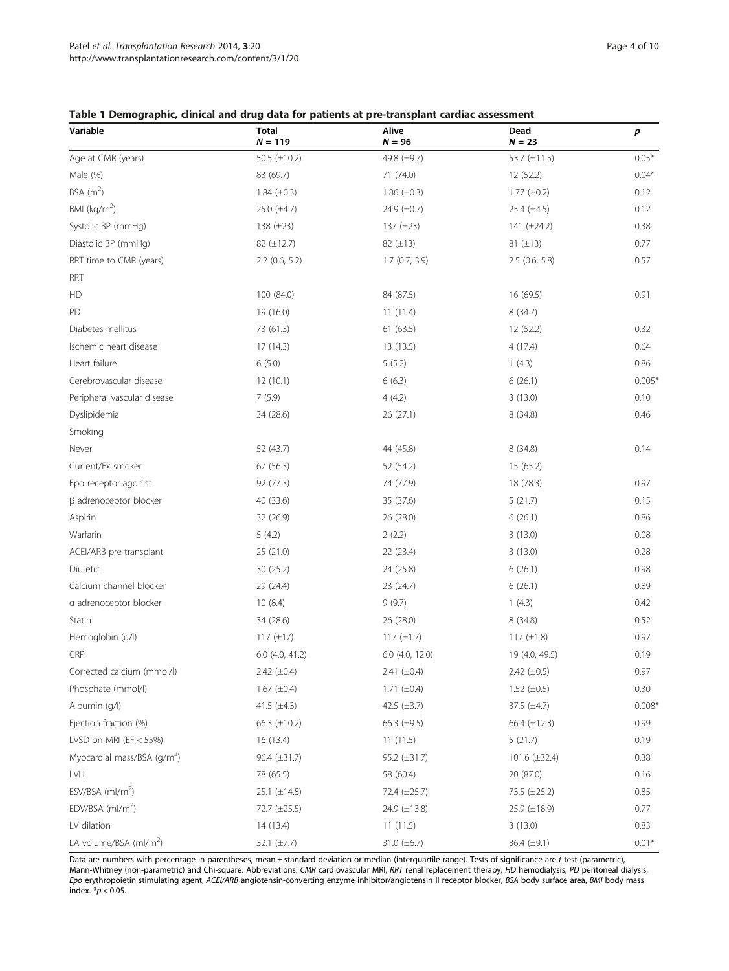#### <span id="page-3-0"></span>Table 1 Demographic, clinical and drug data for patients at pre-transplant cardiac assessment

| Variable                           | <b>Total</b><br>$N = 119$ | Alive<br>$N = 96$ | Dead<br>$N = 23$  | р        |
|------------------------------------|---------------------------|-------------------|-------------------|----------|
| Age at CMR (years)                 | 50.5 ( $\pm$ 10.2)        | 49.8 (±9.7)       | 53.7 (±11.5)      | $0.05*$  |
| Male (%)                           | 83 (69.7)                 | 71 (74.0)         | 12 (52.2)         | $0.04*$  |
| BSA $(m^2)$                        | 1.84 $(\pm 0.3)$          | 1.86 $(\pm 0.3)$  | $1.77 (\pm 0.2)$  | 0.12     |
| BMI ( $kg/m2$ )                    | $25.0 \ (\pm 4.7)$        | 24.9 $(\pm 0.7)$  | 25.4 $(\pm 4.5)$  | 0.12     |
| Systolic BP (mmHg)                 | 138 $(\pm 23)$            | 137 (±23)         | 141 $(\pm 24.2)$  | 0.38     |
| Diastolic BP (mmHg)                | 82 (±12.7)                | $82 (\pm 13)$     | $81 (\pm 13)$     | 0.77     |
| RRT time to CMR (years)            | $2.2$ (0.6, 5.2)          | 1.7(0.7, 3.9)     | $2.5$ (0.6, 5.8)  | 0.57     |
| <b>RRT</b>                         |                           |                   |                   |          |
| HD                                 | 100 (84.0)                | 84 (87.5)         | 16 (69.5)         | 0.91     |
| PD                                 | 19 (16.0)                 | 11(11.4)          | 8 (34.7)          |          |
| Diabetes mellitus                  | 73 (61.3)                 | 61(63.5)          | 12(52.2)          | 0.32     |
| Ischemic heart disease             | 17 (14.3)                 | 13 (13.5)         | 4(17.4)           | 0.64     |
| Heart failure                      | 6(5.0)                    | 5(5.2)            | 1(4.3)            | 0.86     |
| Cerebrovascular disease            | 12(10.1)                  | 6(6.3)            | 6(26.1)           | $0.005*$ |
| Peripheral vascular disease        | 7(5.9)                    | 4(4.2)            | 3(13.0)           | 0.10     |
| Dyslipidemia                       | 34 (28.6)                 | 26 (27.1)         | 8 (34.8)          | 0.46     |
| Smoking                            |                           |                   |                   |          |
| Never                              | 52 (43.7)                 | 44 (45.8)         | 8(34.8)           | 0.14     |
| Current/Ex smoker                  | 67(56.3)                  | 52 (54.2)         | 15 (65.2)         |          |
| Epo receptor agonist               | 92 (77.3)                 | 74 (77.9)         | 18 (78.3)         | 0.97     |
| $\beta$ adrenoceptor blocker       | 40 (33.6)                 | 35 (37.6)         | 5(21.7)           | 0.15     |
| Aspirin                            | 32 (26.9)                 | 26 (28.0)         | 6(26.1)           | 0.86     |
| Warfarin                           | 5(4.2)                    | 2(2.2)            | 3(13.0)           | 0.08     |
| ACEI/ARB pre-transplant            | 25 (21.0)                 | 22 (23.4)         | 3(13.0)           | 0.28     |
| Diuretic                           | 30 (25.2)                 | 24 (25.8)         | 6(26.1)           | 0.98     |
| Calcium channel blocker            | 29 (24.4)                 | 23 (24.7)         | 6(26.1)           | 0.89     |
| a adrenoceptor blocker             | 10(8.4)                   | 9(9.7)            | 1(4.3)            | 0.42     |
| Statin                             | 34 (28.6)                 | 26 (28.0)         | 8 (34.8)          | 0.52     |
| Hemoglobin (g/l)                   | $117 (\pm 17)$            | $117 (\pm 1.7)$   | 117 $(\pm 1.8)$   | 0.97     |
| CRP                                | $6.0$ (4.0, 41.2)         | $6.0$ (4.0, 12.0) | 19 (4.0, 49.5)    | 0.19     |
| Corrected calcium (mmol/l)         | $2.42 \ (\pm 0.4)$        | 2.41 $(\pm 0.4)$  | $2.42 (\pm 0.5)$  | 0.97     |
| Phosphate (mmol/l)                 | $1.67 (\pm 0.4)$          | 1.71 $(\pm 0.4)$  | 1.52 $(\pm 0.5)$  | 0.30     |
| Albumin (q/l)                      | 41.5 $(\pm 4.3)$          | 42.5 $(\pm 3.7)$  | 37.5 $(\pm 4.7)$  | $0.008*$ |
| Ejection fraction (%)              | 66.3 $(\pm 10.2)$         | 66.3 $(\pm 9.5)$  | 66.4 $(\pm 12.3)$ | 0.99     |
| LVSD on MRI (EF $<$ 55%)           | 16 (13.4)                 | 11(11.5)          | 5(21.7)           | 0.19     |
| Myocardial mass/BSA $(q/m^2)$      | 96.4 (±31.7)              | 95.2 (±31.7)      | 101.6 (±32.4)     | 0.38     |
| LVH                                | 78 (65.5)                 | 58 (60.4)         | 20 (87.0)         | 0.16     |
| ESV/BSA $(mI/m2)$                  | $25.1 (\pm 14.8)$         | 72.4 (±25.7)      | 73.5 (±25.2)      | 0.85     |
| EDV/BSA $(mI/m2)$                  | 72.7 (±25.5)              | 24.9 (±13.8)      | 25.9 (±18.9)      | 0.77     |
| LV dilation                        | 14 (13.4)                 | 11(11.5)          | 3(13.0)           | 0.83     |
| LA volume/BSA (ml/m <sup>2</sup> ) | 32.1 $(\pm 7.7)$          | 31.0 $(\pm 6.7)$  | 36.4 $(\pm 9.1)$  | $0.01*$  |

Data are numbers with percentage in parentheses, mean ± standard deviation or median (interquartile range). Tests of significance are t-test (parametric), Mann-Whitney (non-parametric) and Chi-square. Abbreviations: CMR cardiovascular MRI, RRT renal replacement therapy, HD hemodialysis, PD peritoneal dialysis, Epo erythropoietin stimulating agent, ACEI/ARB angiotensin-converting enzyme inhibitor/angiotensin II receptor blocker, BSA body surface area, BMI body mass index.  $p < 0.05$ .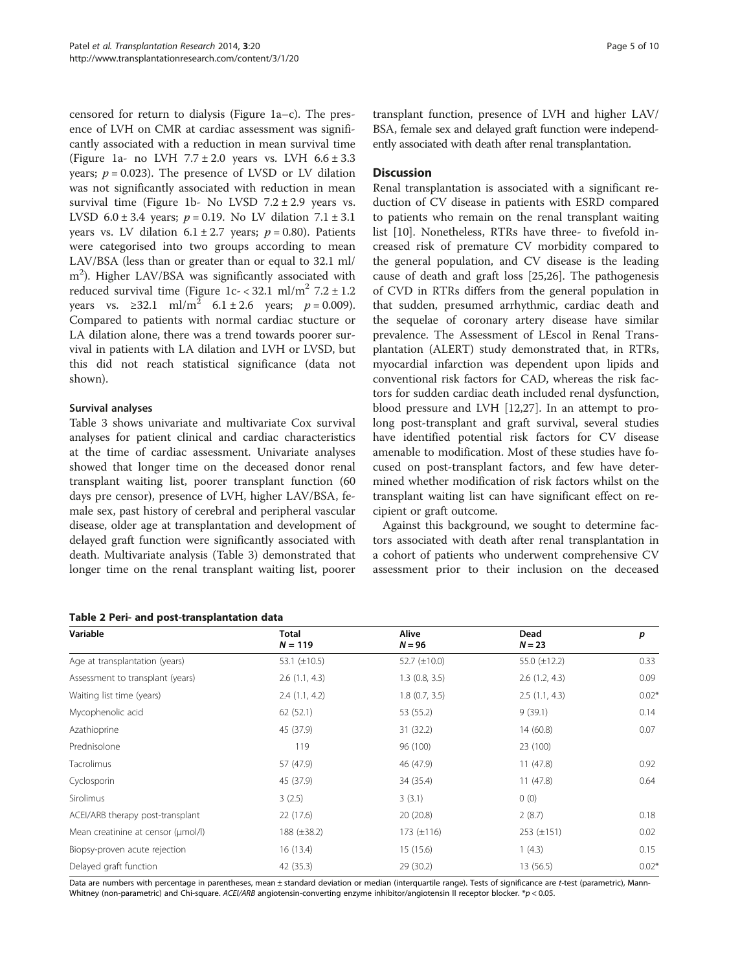<span id="page-4-0"></span>censored for return to dialysis (Figure [1a](#page-5-0)–c). The presence of LVH on CMR at cardiac assessment was significantly associated with a reduction in mean survival time (Figure [1](#page-5-0)a- no LVH  $7.7 \pm 2.0$  years vs. LVH  $6.6 \pm 3.3$ years;  $p = 0.023$ ). The presence of LVSD or LV dilation was not significantly associated with reduction in mean survival time (Figure [1b](#page-5-0)- No LVSD  $7.2 \pm 2.9$  years vs. LVSD  $6.0 \pm 3.4$  years;  $p = 0.19$ . No LV dilation  $7.1 \pm 3.1$ years vs. LV dilation  $6.1 \pm 2.7$  years;  $p = 0.80$ ). Patients were categorised into two groups according to mean LAV/BSA (less than or greater than or equal to 32.1 ml/ m<sup>2</sup>). Higher LAV/BSA was significantly associated with reduced survival time (Figure  $1c - < 32.1$  ml/m<sup>2</sup> 7.2  $\pm$  1.2 years vs. ≥32.1 ml/m<sup>2</sup> 6.1 ± 2.6 years;  $p = 0.009$ ). Compared to patients with normal cardiac stucture or LA dilation alone, there was a trend towards poorer survival in patients with LA dilation and LVH or LVSD, but this did not reach statistical significance (data not shown).

# Survival analyses

Table [3](#page-6-0) shows univariate and multivariate Cox survival analyses for patient clinical and cardiac characteristics at the time of cardiac assessment. Univariate analyses showed that longer time on the deceased donor renal transplant waiting list, poorer transplant function (60 days pre censor), presence of LVH, higher LAV/BSA, female sex, past history of cerebral and peripheral vascular disease, older age at transplantation and development of delayed graft function were significantly associated with death. Multivariate analysis (Table [3\)](#page-6-0) demonstrated that longer time on the renal transplant waiting list, poorer

Table 2 Peri- and post-transplantation data

transplant function, presence of LVH and higher LAV/ BSA, female sex and delayed graft function were independently associated with death after renal transplantation.

# **Discussion**

Renal transplantation is associated with a significant reduction of CV disease in patients with ESRD compared to patients who remain on the renal transplant waiting list [\[10](#page-8-0)]. Nonetheless, RTRs have three- to fivefold increased risk of premature CV morbidity compared to the general population, and CV disease is the leading cause of death and graft loss [[25,](#page-8-0)[26](#page-9-0)]. The pathogenesis of CVD in RTRs differs from the general population in that sudden, presumed arrhythmic, cardiac death and the sequelae of coronary artery disease have similar prevalence. The Assessment of LEscol in Renal Transplantation (ALERT) study demonstrated that, in RTRs, myocardial infarction was dependent upon lipids and conventional risk factors for CAD, whereas the risk factors for sudden cardiac death included renal dysfunction, blood pressure and LVH [\[12](#page-8-0)[,27](#page-9-0)]. In an attempt to prolong post-transplant and graft survival, several studies have identified potential risk factors for CV disease amenable to modification. Most of these studies have focused on post-transplant factors, and few have determined whether modification of risk factors whilst on the transplant waiting list can have significant effect on recipient or graft outcome.

Against this background, we sought to determine factors associated with death after renal transplantation in a cohort of patients who underwent comprehensive CV assessment prior to their inclusion on the deceased

| Variable                           | <b>Total</b>      | Alive             | Dead              | p       |
|------------------------------------|-------------------|-------------------|-------------------|---------|
|                                    | $N = 119$         | $N = 96$          | $N = 23$          |         |
| Age at transplantation (years)     | 53.1 $(\pm 10.5)$ | 52.7 $(\pm 10.0)$ | 55.0 $(\pm 12.2)$ | 0.33    |
| Assessment to transplant (years)   | 2.6(1.1, 4.3)     | $1.3$ (0.8, 3.5)  | 2.6(1.2, 4.3)     | 0.09    |
| Waiting list time (years)          | 2.4(1.1, 4.2)     | 1.8(0.7, 3.5)     | 2.5(1.1, 4.3)     | $0.02*$ |
| Mycophenolic acid                  | 62 (52.1)         | 53 (55.2)         | 9(39.1)           | 0.14    |
| Azathioprine                       | 45 (37.9)         | 31 (32.2)         | 14(60.8)          | 0.07    |
| Prednisolone                       | 119               | 96 (100)          | 23 (100)          |         |
| Tacrolimus                         | 57 (47.9)         | 46 (47.9)         | 11(47.8)          | 0.92    |
| Cyclosporin                        | 45 (37.9)         | 34 (35.4)         | 11(47.8)          | 0.64    |
| Sirolimus                          | 3(2.5)            | 3(3.1)            | 0(0)              |         |
| ACEI/ARB therapy post-transplant   | 22(17.6)          | 20(20.8)          | 2(8.7)            | 0.18    |
| Mean creatinine at censor (µmol/l) | $188 (\pm 38.2)$  | 173 $(\pm 116)$   | $253 (\pm 151)$   | 0.02    |
| Biopsy-proven acute rejection      | 16(13.4)          | 15(15.6)          | 1(4.3)            | 0.15    |
| Delayed graft function             | 42 (35.3)         | 29 (30.2)         | 13(56.5)          | $0.02*$ |

Data are numbers with percentage in parentheses, mean ± standard deviation or median (interquartile range). Tests of significance are t-test (parametric), Mann-Whitney (non-parametric) and Chi-square. ACEI/ARB angiotensin-converting enzyme inhibitor/angiotensin II receptor blocker. \*p < 0.05.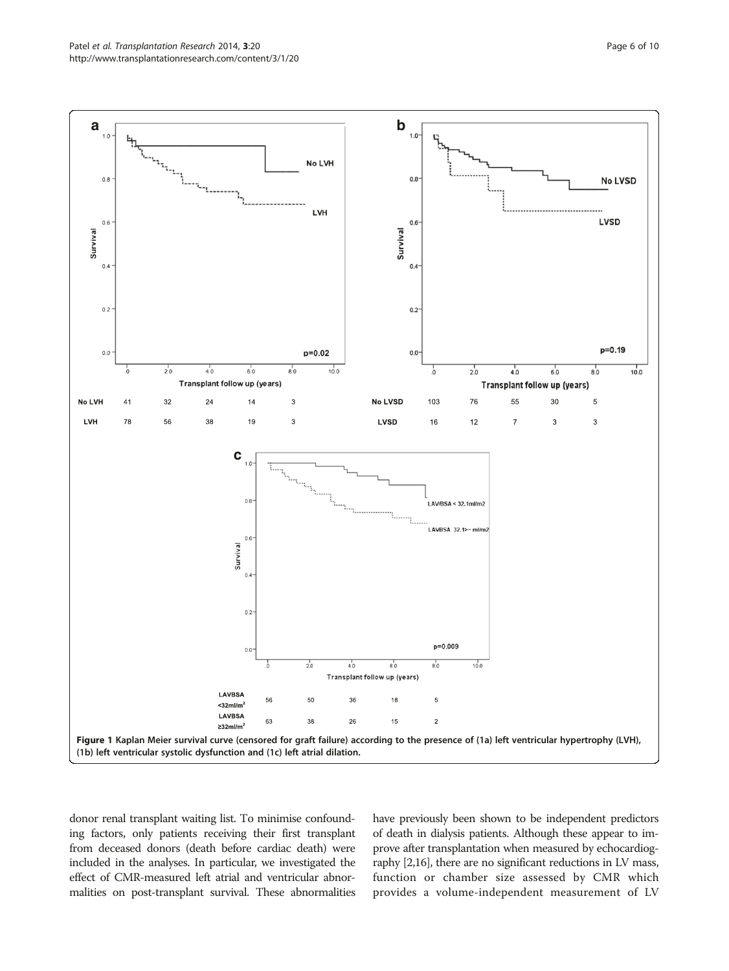<span id="page-5-0"></span>

donor renal transplant waiting list. To minimise confounding factors, only patients receiving their first transplant from deceased donors (death before cardiac death) were included in the analyses. In particular, we investigated the effect of CMR-measured left atrial and ventricular abnormalities on post-transplant survival. These abnormalities have previously been shown to be independent predictors of death in dialysis patients. Although these appear to improve after transplantation when measured by echocardiography [\[2,16\]](#page-8-0), there are no significant reductions in LV mass, function or chamber size assessed by CMR which provides a volume-independent measurement of LV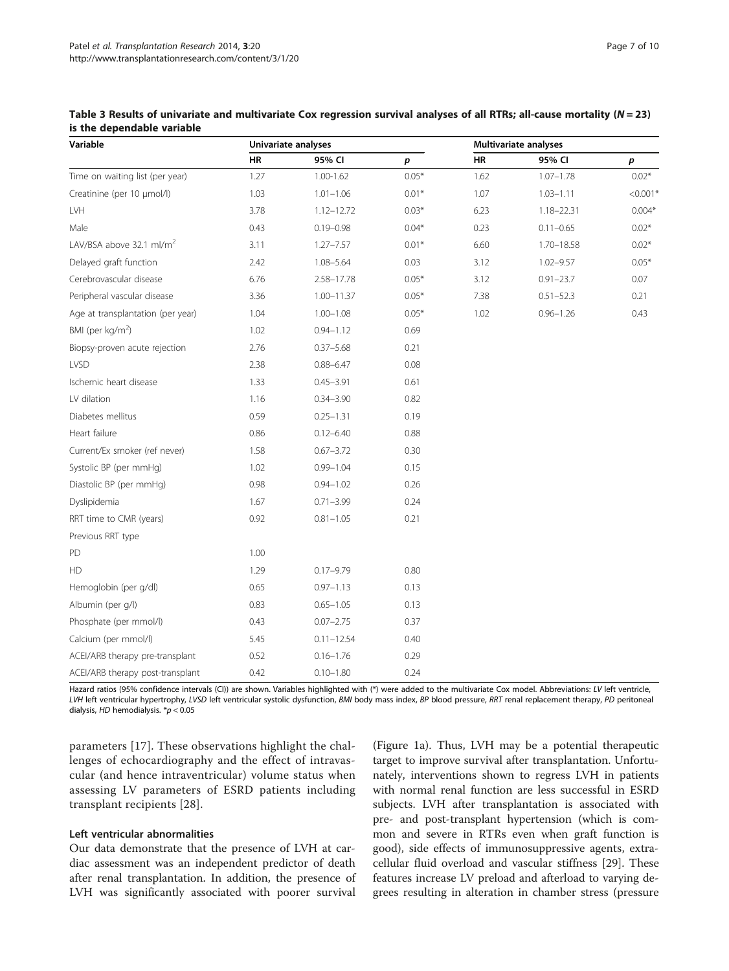| Variable                             | Univariate analyses |                |         | <b>Multivariate analyses</b> |                |            |
|--------------------------------------|---------------------|----------------|---------|------------------------------|----------------|------------|
|                                      | HR                  | 95% CI         | p       | HR                           | 95% CI         | p          |
| Time on waiting list (per year)      | 1.27                | $1.00 - 1.62$  | $0.05*$ | 1.62                         | $1.07 - 1.78$  | $0.02*$    |
| Creatinine (per 10 µmol/l)           | 1.03                | $1.01 - 1.06$  | $0.01*$ | 1.07                         | $1.03 - 1.11$  | $< 0.001*$ |
| LVH                                  | 3.78                | 1.12-12.72     | $0.03*$ | 6.23                         | $1.18 - 22.31$ | $0.004*$   |
| Male                                 | 0.43                | $0.19 - 0.98$  | $0.04*$ | 0.23                         | $0.11 - 0.65$  | $0.02*$    |
| LAV/BSA above 32.1 ml/m <sup>2</sup> | 3.11                | $1.27 - 7.57$  | $0.01*$ | 6.60                         | $1.70 - 18.58$ | $0.02*$    |
| Delayed graft function               | 2.42                | $1.08 - 5.64$  | 0.03    | 3.12                         | $1.02 - 9.57$  | $0.05*$    |
| Cerebrovascular disease              | 6.76                | $2.58 - 17.78$ | $0.05*$ | 3.12                         | $0.91 - 23.7$  | 0.07       |
| Peripheral vascular disease          | 3.36                | $1.00 - 11.37$ | $0.05*$ | 7.38                         | $0.51 - 52.3$  | 0.21       |
| Age at transplantation (per year)    | 1.04                | $1.00 - 1.08$  | $0.05*$ | 1.02                         | $0.96 - 1.26$  | 0.43       |
| BMI (per kg/m <sup>2</sup> )         | 1.02                | $0.94 - 1.12$  | 0.69    |                              |                |            |
| Biopsy-proven acute rejection        | 2.76                | $0.37 - 5.68$  | 0.21    |                              |                |            |
| <b>LVSD</b>                          | 2.38                | $0.88 - 6.47$  | 0.08    |                              |                |            |
| Ischemic heart disease               | 1.33                | $0.45 - 3.91$  | 0.61    |                              |                |            |
| LV dilation                          | 1.16                | $0.34 - 3.90$  | 0.82    |                              |                |            |
| Diabetes mellitus                    | 0.59                | $0.25 - 1.31$  | 0.19    |                              |                |            |
| Heart failure                        | 0.86                | $0.12 - 6.40$  | 0.88    |                              |                |            |
| Current/Ex smoker (ref never)        | 1.58                | $0.67 - 3.72$  | 0.30    |                              |                |            |
| Systolic BP (per mmHg)               | 1.02                | $0.99 - 1.04$  | 0.15    |                              |                |            |
| Diastolic BP (per mmHg)              | 0.98                | $0.94 - 1.02$  | 0.26    |                              |                |            |
| Dyslipidemia                         | 1.67                | $0.71 - 3.99$  | 0.24    |                              |                |            |
| RRT time to CMR (years)              | 0.92                | $0.81 - 1.05$  | 0.21    |                              |                |            |
| Previous RRT type                    |                     |                |         |                              |                |            |
| PD                                   | 1.00                |                |         |                              |                |            |
| HD                                   | 1.29                | $0.17 - 9.79$  | 0.80    |                              |                |            |
| Hemoglobin (per g/dl)                | 0.65                | $0.97 - 1.13$  | 0.13    |                              |                |            |
| Albumin (per g/l)                    | 0.83                | $0.65 - 1.05$  | 0.13    |                              |                |            |
| Phosphate (per mmol/l)               | 0.43                | $0.07 - 2.75$  | 0.37    |                              |                |            |
| Calcium (per mmol/l)                 | 5.45                | $0.11 - 12.54$ | 0.40    |                              |                |            |
| ACEI/ARB therapy pre-transplant      | 0.52                | $0.16 - 1.76$  | 0.29    |                              |                |            |
| ACEI/ARB therapy post-transplant     | 0.42                | $0.10 - 1.80$  | 0.24    |                              |                |            |

<span id="page-6-0"></span>Table 3 Results of univariate and multivariate Cox regression survival analyses of all RTRs; all-cause mortality ( $N = 23$ ) is the dependable variable

Hazard ratios (95% confidence intervals (CI)) are shown. Variables highlighted with (\*) were added to the multivariate Cox model. Abbreviations: LV left ventricle, LVH left ventricular hypertrophy, LVSD left ventricular systolic dysfunction, BMI body mass index, BP blood pressure, RRT renal replacement therapy, PD peritoneal dialysis, HD hemodialysis.  $* p < 0.05$ 

parameters [[17](#page-8-0)]. These observations highlight the challenges of echocardiography and the effect of intravascular (and hence intraventricular) volume status when assessing LV parameters of ESRD patients including transplant recipients [[28](#page-9-0)].

# Left ventricular abnormalities

Our data demonstrate that the presence of LVH at cardiac assessment was an independent predictor of death after renal transplantation. In addition, the presence of LVH was significantly associated with poorer survival

(Figure [1a](#page-5-0)). Thus, LVH may be a potential therapeutic target to improve survival after transplantation. Unfortunately, interventions shown to regress LVH in patients with normal renal function are less successful in ESRD subjects. LVH after transplantation is associated with pre- and post-transplant hypertension (which is common and severe in RTRs even when graft function is good), side effects of immunosuppressive agents, extracellular fluid overload and vascular stiffness [\[29\]](#page-9-0). These features increase LV preload and afterload to varying degrees resulting in alteration in chamber stress (pressure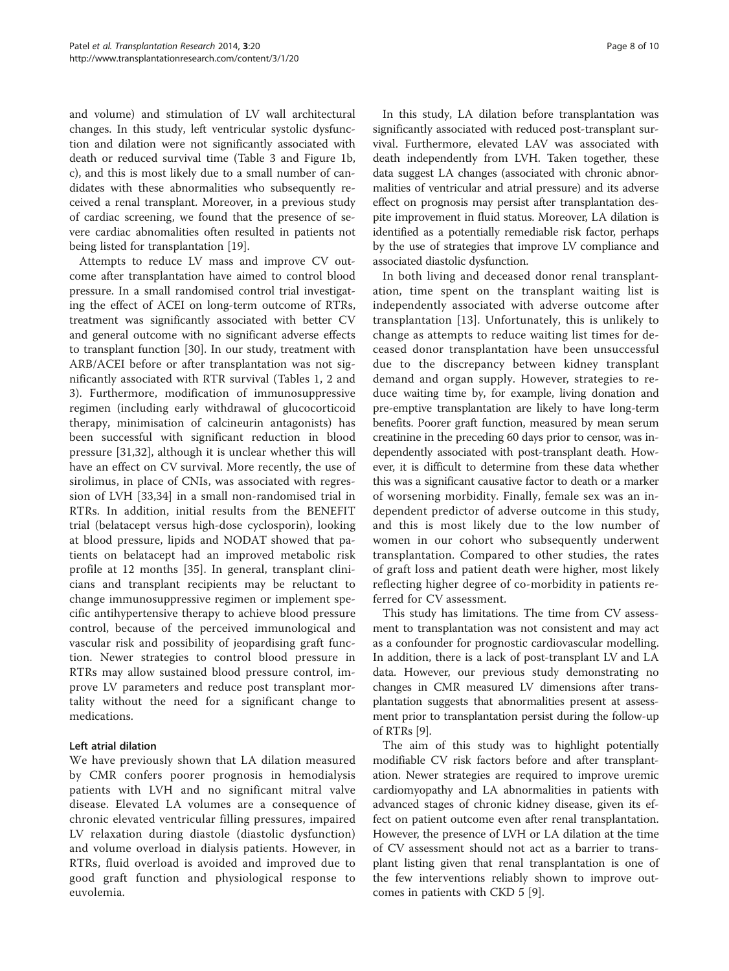and volume) and stimulation of LV wall architectural changes. In this study, left ventricular systolic dysfunction and dilation were not significantly associated with death or reduced survival time (Table [3](#page-6-0) and Figure [1](#page-5-0)b, c), and this is most likely due to a small number of candidates with these abnormalities who subsequently received a renal transplant. Moreover, in a previous study of cardiac screening, we found that the presence of severe cardiac abnomalities often resulted in patients not being listed for transplantation [[19\]](#page-8-0).

Attempts to reduce LV mass and improve CV outcome after transplantation have aimed to control blood pressure. In a small randomised control trial investigating the effect of ACEI on long-term outcome of RTRs, treatment was significantly associated with better CV and general outcome with no significant adverse effects to transplant function [[30\]](#page-9-0). In our study, treatment with ARB/ACEI before or after transplantation was not significantly associated with RTR survival (Tables [1](#page-3-0), [2](#page-4-0) and [3\)](#page-6-0). Furthermore, modification of immunosuppressive regimen (including early withdrawal of glucocorticoid therapy, minimisation of calcineurin antagonists) has been successful with significant reduction in blood pressure [[31,32](#page-9-0)], although it is unclear whether this will have an effect on CV survival. More recently, the use of sirolimus, in place of CNIs, was associated with regression of LVH [\[33](#page-9-0),[34\]](#page-9-0) in a small non-randomised trial in RTRs. In addition, initial results from the BENEFIT trial (belatacept versus high-dose cyclosporin), looking at blood pressure, lipids and NODAT showed that patients on belatacept had an improved metabolic risk profile at 12 months [\[35](#page-9-0)]. In general, transplant clinicians and transplant recipients may be reluctant to change immunosuppressive regimen or implement specific antihypertensive therapy to achieve blood pressure control, because of the perceived immunological and vascular risk and possibility of jeopardising graft function. Newer strategies to control blood pressure in RTRs may allow sustained blood pressure control, improve LV parameters and reduce post transplant mortality without the need for a significant change to medications.

# Left atrial dilation

We have previously shown that LA dilation measured by CMR confers poorer prognosis in hemodialysis patients with LVH and no significant mitral valve disease. Elevated LA volumes are a consequence of chronic elevated ventricular filling pressures, impaired LV relaxation during diastole (diastolic dysfunction) and volume overload in dialysis patients. However, in RTRs, fluid overload is avoided and improved due to good graft function and physiological response to euvolemia.

In this study, LA dilation before transplantation was significantly associated with reduced post-transplant survival. Furthermore, elevated LAV was associated with death independently from LVH. Taken together, these data suggest LA changes (associated with chronic abnormalities of ventricular and atrial pressure) and its adverse effect on prognosis may persist after transplantation despite improvement in fluid status. Moreover, LA dilation is identified as a potentially remediable risk factor, perhaps by the use of strategies that improve LV compliance and associated diastolic dysfunction.

In both living and deceased donor renal transplantation, time spent on the transplant waiting list is independently associated with adverse outcome after transplantation [[13\]](#page-8-0). Unfortunately, this is unlikely to change as attempts to reduce waiting list times for deceased donor transplantation have been unsuccessful due to the discrepancy between kidney transplant demand and organ supply. However, strategies to reduce waiting time by, for example, living donation and pre-emptive transplantation are likely to have long-term benefits. Poorer graft function, measured by mean serum creatinine in the preceding 60 days prior to censor, was independently associated with post-transplant death. However, it is difficult to determine from these data whether this was a significant causative factor to death or a marker of worsening morbidity. Finally, female sex was an independent predictor of adverse outcome in this study, and this is most likely due to the low number of women in our cohort who subsequently underwent transplantation. Compared to other studies, the rates of graft loss and patient death were higher, most likely reflecting higher degree of co-morbidity in patients referred for CV assessment.

This study has limitations. The time from CV assessment to transplantation was not consistent and may act as a confounder for prognostic cardiovascular modelling. In addition, there is a lack of post-transplant LV and LA data. However, our previous study demonstrating no changes in CMR measured LV dimensions after transplantation suggests that abnormalities present at assessment prior to transplantation persist during the follow-up of RTRs [[9\]](#page-8-0).

The aim of this study was to highlight potentially modifiable CV risk factors before and after transplantation. Newer strategies are required to improve uremic cardiomyopathy and LA abnormalities in patients with advanced stages of chronic kidney disease, given its effect on patient outcome even after renal transplantation. However, the presence of LVH or LA dilation at the time of CV assessment should not act as a barrier to transplant listing given that renal transplantation is one of the few interventions reliably shown to improve outcomes in patients with CKD 5 [[9\]](#page-8-0).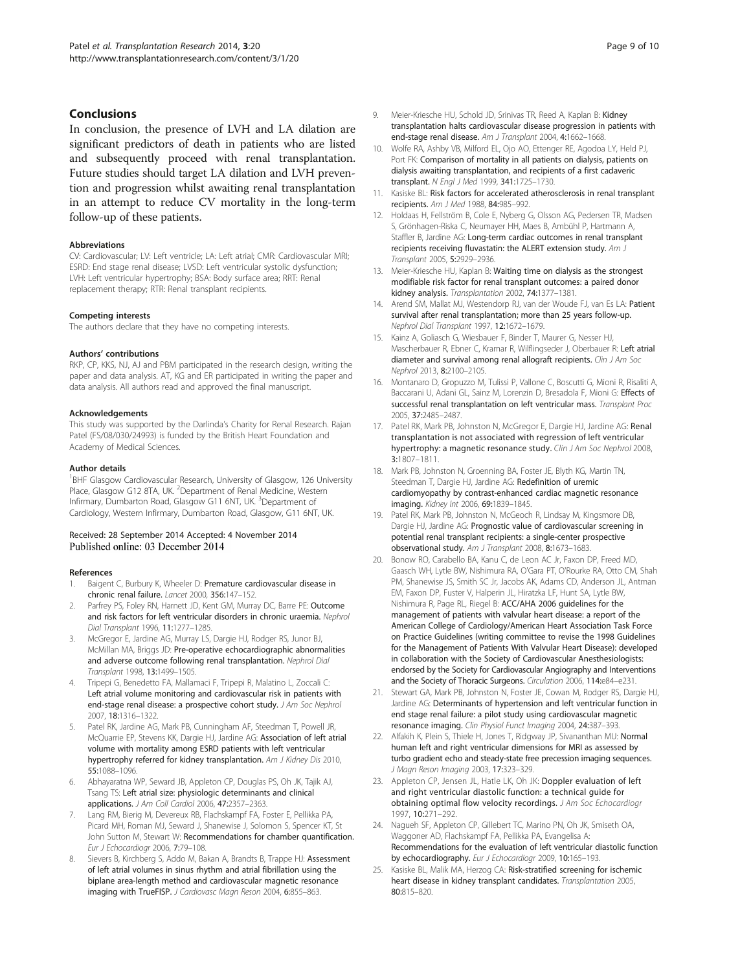#### <span id="page-8-0"></span>Conclusions

In conclusion, the presence of LVH and LA dilation are significant predictors of death in patients who are listed and subsequently proceed with renal transplantation. Future studies should target LA dilation and LVH prevention and progression whilst awaiting renal transplantation in an attempt to reduce CV mortality in the long-term follow-up of these patients.

#### **Abbreviations**

CV: Cardiovascular; LV: Left ventricle; LA: Left atrial; CMR: Cardiovascular MRI; ESRD: End stage renal disease; LVSD: Left ventricular systolic dysfunction; LVH: Left ventricular hypertrophy; BSA: Body surface area; RRT: Renal replacement therapy; RTR: Renal transplant recipients.

#### Competing interests

The authors declare that they have no competing interests.

#### Authors' contributions

RKP, CP, KKS, NJ, AJ and PBM participated in the research design, writing the paper and data analysis. AT, KG and ER participated in writing the paper and data analysis. All authors read and approved the final manuscript.

#### Acknowledgements

This study was supported by the Darlinda's Charity for Renal Research. Rajan Patel (FS/08/030/24993) is funded by the British Heart Foundation and Academy of Medical Sciences.

#### Author details

<sup>1</sup>BHF Glasgow Cardiovascular Research, University of Glasgow, 126 University Place, Glasgow G12 8TA, UK. <sup>2</sup>Department of Renal Medicine, Western Infirmary, Dumbarton Road, Glasgow G11 6NT, UK. <sup>3</sup>Department of Cardiology, Western Infirmary, Dumbarton Road, Glasgow, G11 6NT, UK.

#### Received: 28 September 2014 Accepted: 4 November 2014 Published online: 03 December 2014

#### References

- 1. Baigent C, Burbury K, Wheeler D: Premature cardiovascular disease in chronic renal failure. Lancet 2000, 356:147–152.
- Parfrey PS, Foley RN, Harnett JD, Kent GM, Murray DC, Barre PE: Outcome and risk factors for left ventricular disorders in chronic uraemia. Nephrol Dial Transplant 1996, 11:1277–1285.
- 3. McGregor E, Jardine AG, Murray LS, Dargie HJ, Rodger RS, Junor BJ, McMillan MA, Briggs JD: Pre-operative echocardiographic abnormalities and adverse outcome following renal transplantation. Nephrol Dial Transplant 1998, 13:1499–1505.
- 4. Tripepi G, Benedetto FA, Mallamaci F, Tripepi R, Malatino L, Zoccali C: Left atrial volume monitoring and cardiovascular risk in patients with end-stage renal disease: a prospective cohort study. J Am Soc Nephrol 2007, 18:1316–1322.
- 5. Patel RK, Jardine AG, Mark PB, Cunningham AF, Steedman T, Powell JR, McQuarrie EP, Stevens KK, Dargie HJ, Jardine AG: Association of left atrial volume with mortality among ESRD patients with left ventricular hypertrophy referred for kidney transplantation. Am J Kidney Dis 2010, 55:1088–1096.
- 6. Abhayaratna WP, Seward JB, Appleton CP, Douglas PS, Oh JK, Tajik AJ, Tsang TS: Left atrial size: physiologic determinants and clinical applications. J Am Coll Cardiol 2006, 47:2357–2363.
- Lang RM, Bierig M, Devereux RB, Flachskampf FA, Foster E, Pellikka PA, Picard MH, Roman MJ, Seward J, Shanewise J, Solomon S, Spencer KT, St John Sutton M, Stewart W: Recommendations for chamber quantification. Eur J Echocardiogr 2006, 7:79–108.
- 8. Sievers B, Kirchberg S, Addo M, Bakan A, Brandts B, Trappe HJ: Assessment of left atrial volumes in sinus rhythm and atrial fibrillation using the biplane area-length method and cardiovascular magnetic resonance imaging with TrueFISP. J Cardiovasc Magn Reson 2004, 6:855-863.
- 9. Meier-Kriesche HU, Schold JD, Srinivas TR, Reed A, Kaplan B: Kidney transplantation halts cardiovascular disease progression in patients with end-stage renal disease. Am J Transplant 2004, 4:1662–1668.
- 10. Wolfe RA, Ashby VB, Milford EL, Ojo AO, Ettenger RE, Agodoa LY, Held PJ, Port FK: Comparison of mortality in all patients on dialysis, patients on dialysis awaiting transplantation, and recipients of a first cadaveric transplant. N Engl J Med 1999, 341:1725–1730.
- 11. Kasiske BL: Risk factors for accelerated atherosclerosis in renal transplant recipients. Am J Med 1988, 84:985–992.
- 12. Holdaas H, Fellström B, Cole E, Nyberg G, Olsson AG, Pedersen TR, Madsen S, Grönhagen-Riska C, Neumayer HH, Maes B, Ambühl P, Hartmann A, Staffler B, Jardine AG: Long-term cardiac outcomes in renal transplant recipients receiving fluvastatin: the ALERT extension study. Am J Transplant 2005, 5:2929–2936.
- 13. Meier-Kriesche HU, Kaplan B: Waiting time on dialysis as the strongest modifiable risk factor for renal transplant outcomes: a paired donor kidney analysis. Transplantation 2002, 74:1377–1381.
- 14. Arend SM, Mallat MJ, Westendorp RJ, van der Woude FJ, van Es LA: Patient survival after renal transplantation; more than 25 years follow-up. Nephrol Dial Transplant 1997, 12:1672–1679.
- 15. Kainz A, Goliasch G, Wiesbauer F, Binder T, Maurer G, Nesser HJ, Mascherbauer R, Ebner C, Kramar R, Wilflingseder J, Oberbauer R: Left atrial diameter and survival among renal allograft recipients. Clin J Am Soc Nephrol 2013, 8:2100–2105.
- 16. Montanaro D, Gropuzzo M, Tulissi P, Vallone C, Boscutti G, Mioni R, Risaliti A, Baccarani U, Adani GL, Sainz M, Lorenzin D, Bresadola F, Mioni G: Effects of successful renal transplantation on left ventricular mass. Transplant Proc 2005, 37:2485–2487.
- 17. Patel RK, Mark PB, Johnston N, McGregor E, Dargie HJ, Jardine AG: Renal transplantation is not associated with regression of left ventricular hypertrophy: a magnetic resonance study. Clin J Am Soc Nephrol 2008, 3:1807–1811.
- 18. Mark PB, Johnston N, Groenning BA, Foster JE, Blyth KG, Martin TN, Steedman T, Dargie HJ, Jardine AG: Redefinition of uremic cardiomyopathy by contrast-enhanced cardiac magnetic resonance imaging. Kidney Int 2006, 69:1839–1845.
- 19. Patel RK, Mark PB, Johnston N, McGeoch R, Lindsay M, Kingsmore DB, Dargie HJ, Jardine AG: Prognostic value of cardiovascular screening in potential renal transplant recipients: a single-center prospective observational study. Am J Transplant 2008, 8:1673–1683.
- 20. Bonow RO, Carabello BA, Kanu C, de Leon AC Jr, Faxon DP, Freed MD, Gaasch WH, Lytle BW, Nishimura RA, O'Gara PT, O'Rourke RA, Otto CM, Shah PM, Shanewise JS, Smith SC Jr, Jacobs AK, Adams CD, Anderson JL, Antman EM, Faxon DP, Fuster V, Halperin JL, Hiratzka LF, Hunt SA, Lytle BW, Nishimura R, Page RL, Riegel B: ACC/AHA 2006 guidelines for the management of patients with valvular heart disease: a report of the American College of Cardiology/American Heart Association Task Force on Practice Guidelines (writing committee to revise the 1998 Guidelines for the Management of Patients With Valvular Heart Disease): developed in collaboration with the Society of Cardiovascular Anesthesiologists: endorsed by the Society for Cardiovascular Angiography and Interventions and the Society of Thoracic Surgeons. Circulation 2006, 114:e84–e231.
- 21. Stewart GA, Mark PB, Johnston N, Foster JE, Cowan M, Rodger RS, Dargie HJ, Jardine AG: Determinants of hypertension and left ventricular function in end stage renal failure: a pilot study using cardiovascular magnetic resonance imaging. Clin Physiol Funct Imaging 2004, 24:387–393.
- 22. Alfakih K, Plein S, Thiele H, Jones T, Ridgway JP, Sivananthan MU: Normal human left and right ventricular dimensions for MRI as assessed by turbo gradient echo and steady-state free precession imaging sequences. J Magn Reson Imaging 2003, 17:323–329.
- 23. Appleton CP, Jensen JL, Hatle LK, Oh JK: Doppler evaluation of left and right ventricular diastolic function: a technical guide for obtaining optimal flow velocity recordings. J Am Soc Echocardiogr 1997, 10:271–292.
- 24. Nagueh SF, Appleton CP, Gillebert TC, Marino PN, Oh JK, Smiseth OA, Waggoner AD, Flachskampf FA, Pellikka PA, Evangelisa A: Recommendations for the evaluation of left ventricular diastolic function by echocardiography. Eur J Echocardiogr 2009, 10:165-193.
- 25. Kasiske BL, Malik MA, Herzog CA: Risk-stratified screening for ischemic heart disease in kidney transplant candidates. Transplantation 2005, 80:815–820.